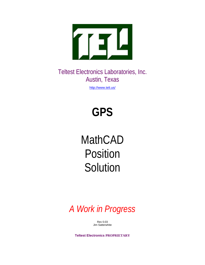

Teltest Electronics Laboratories, Inc. Austin, Texas

http://www.teli.us/

# **GPS**

# MathCAD Position **Solution**

*A Work in Progress*

Rev 0.03 Jim Satterwhite

**Teltest Electronics PROPRIETARY**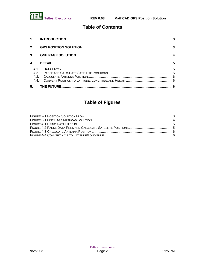

## **Table of Contents**

| 2.             |  |
|----------------|--|
| 3 <sub>1</sub> |  |
| 4.             |  |
|                |  |
| 5.             |  |

## **Table of Figures**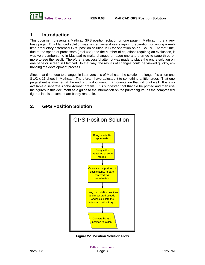

## **1. Introduction**

This document presents a Mathcad GPS position solution on one page in Mathcad. It is a very busy page. This Mathcad solution was written several years ago in preparation for writing a realtime proprietary differential GPS position solution in C for operation on an IBM PC. At that time, due to the speed of processors (Intel 486) and the number of equations requiring an evaluation, it was very cumbersome in Mathcad to make changes on page-one and then go to page three or more to see the result. Therefore, a successful attempt was made to place the entire solution on one page or screen in Mathcad. In that way, the results of changes could be viewed quickly, enhancing the development process.

Since that time, due to changes in later versions of Mathcad, the solution no longer fits all on one 8 1/2 x 11 sheet in Mathcad. Therefore, I have adjusted it to something a little larger. That one page sheet is attached at the end of this document in an orientation that will print well. It is also available a separate Adobe Acrobat pdf file. It is suggested that that file be printed and then use the figures in this document as a guide to the information on the printed figure, as the compressed figures in this document are barely readable.

## **2. GPS Position Solution**



**Figure 2-1 Position Solution Flow**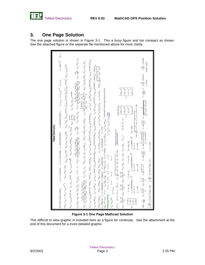

## **3. One Page Solution**

The one page solution is shown in Figure 3-1. This a busy figure and too compact as shown. See the attached figure or the separate file mentioned above for more clarity.

| <b>Tellest Electronics</b>                                                                                                                                                                                                                                                                                                                                                                                                                                                                                                                                                                                                                                                                                                                                                                                                                                                                                                                      |
|-------------------------------------------------------------------------------------------------------------------------------------------------------------------------------------------------------------------------------------------------------------------------------------------------------------------------------------------------------------------------------------------------------------------------------------------------------------------------------------------------------------------------------------------------------------------------------------------------------------------------------------------------------------------------------------------------------------------------------------------------------------------------------------------------------------------------------------------------------------------------------------------------------------------------------------------------|
| $\frac{1}{2} = 1.501 \times 11^{5} \qquad 0.01 = -1$<br>$\label{eq:Riccati} h\cdot h\cdot h\quad \  \  \, \Omega_{\mathcal{L}}(S\to \mathbb{R})\quad \  \  \, \Omega_{\mathcal{L}}(S\to \mathbb{R})\quad \  \  \, \Omega_{\mathcal{L}}(S\to \mathbb{R})\quad \  \  \, \Omega_{\mathcal{L}}(S\to \mathbb{R})\quad \  \  \, \Omega_{\mathcal{L}}(S\to \mathbb{R})\quad \  \  \, \Omega_{\mathcal{L}}(S\to \mathbb{R})\quad \  \  \, \Omega_{\mathcal{L}}(S\to \mathbb{R})\quad \  \, \Omega_{\mathcal{L$<br>GFE Pasitian Solution Capatitians                                                                                                                                                                                                                                                                                                                                                                                                     |
| $\mathrm{NCh}^{(N-1)} \circ \mathrm{N}_{\mathcal{O}_N} \left[ \mathrm{SMO}^{1/2} \right]_{\mathbb{C}} \left( \mathbb{Q} \right) + \mathrm{SMO}^{1/2} \left( \mathrm{N}_0 \right)^{1/2} \left( \mathrm{N}_0 \right) \left( \mathrm{N}_0 \right) \left( \mathrm{N}_0 \right) \left( \mathrm{N}_0 \right) \left( \mathrm{N}_0 \right) \left( \mathrm{N}_0 \right) \left( \mathrm{N}_0 \right) \left( \mathrm{N}_0 \right) \left( \mathrm{N}_0 \right) \left( \mathrm{N}_0 \right) \left( \mathrm{N}_$                                                                                                                                                                                                                                                                                                                                                                                                                                              |
|                                                                                                                                                                                                                                                                                                                                                                                                                                                                                                                                                                                                                                                                                                                                                                                                                                                                                                                                                 |
|                                                                                                                                                                                                                                                                                                                                                                                                                                                                                                                                                                                                                                                                                                                                                                                                                                                                                                                                                 |
|                                                                                                                                                                                                                                                                                                                                                                                                                                                                                                                                                                                                                                                                                                                                                                                                                                                                                                                                                 |
| <sup>06</sup> ഓരോ ഐ <sup>ല</sup> ിച്ച് ആരം ഇത് പിന്നും പിന്നിച്ചു. പ്രായമായി <sup>26</sup> പ്രവായ പ്രവേഷം പ്രവേഷം പ്രവേഷം പ്രവേഷം പ്രവേഷം പ്രവേഷം പ്രവേഷം പ്രവേഷം പ്രവേഷം പ്രവേഷം പ്രവേഷം പ്രവേഷം പ്രവേഷം പ്രവേഷം പ്രവേ                                                                                                                                                                                                                                                                                                                                                                                                                                                                                                                                                                                                                                                                                                                         |
| $\mathcal{N}_{\text{H}}$                                                                                                                                                                                                                                                                                                                                                                                                                                                                                                                                                                                                                                                                                                                                                                                                                                                                                                                        |
| $\left\ \varphi_{\alpha}\varphi_{\beta}\right\ _{\mathcal{H}^1} \leq \left\ \varphi_{\alpha}\varphi_{\beta}\right\ _{\mathcal{H}^1} \leq \left\ \varphi_{\alpha}\varphi_{\beta}\varphi_{\beta}\right\ _{\mathcal{H}^1} \leq \left\ \varphi_{\beta}\varphi_{\beta}\varphi_{\beta}\varphi_{\beta}\right\ _{\mathcal{H}^1} \leq \left\ \varphi_{\beta}\varphi_{\beta}\varphi_{\beta}\varphi_{\beta}\right\ _{\mathcal{H}^1} \leq \left\ \varphi_{\beta}\varphi_{\beta}\varphi_{\beta}\right\ _{\mathcal{$<br>$\max_{\{i,j'\}\in\{1,2\}}\min_{\{i,j'\}\in\{1,2\}}\min_{\{i,j'\}\in\{1,2\}}\min_{\{i,j'\}\in\{1,2\}}\min_{\{i,j'\}\in\{1,2\}}\min_{\{i,j'\}\in\{1,2\}}\min_{\{i,j'\}\in\{1,2\}}\min_{\{i,j'\}\in\{1,2\}}\min_{\{i,j'\}\in\{1,2\}}\min_{\{i,j'\}\in\{1,2\}}\min_{\{i,j'\}\in\{1,2\}}\min_{\{i,j'\}\in\{1,2\}}\min_{\{i,j'\}\in\{1,2\$<br>$10.710 - 20.007$<br>$X = -78.00000000$<br>Please make 1-13 av-0.3 k-0 3-0.5 1-13<br>Z#BBSEW |
| 计晶<br>$\label{eq:V1} V_{B} = V_{B}^{-1} \left\{ V_{B} \right\} \otimes \left\{ V_{B} - \eta \right\} \otimes \left\{ V_{B} \right\} \otimes \left\{ V_{B} \right\} \otimes \left\{ V_{B} \right\} \otimes \left\{ V_{B} \right\} \otimes \left\{ V_{B} \right\} \otimes \left\{ V_{B} \right\} \otimes \left\{ V_{B} \right\} \otimes \left\{ V_{B} \right\} \otimes \left\{ V_{B} \right\} \otimes \left\{ V_{B} \right\} \otimes \left\{ V_{B} \right\} \otimes \left$                                                                                                                                                                                                                                                                                                                                                                                                                                                                        |
| Range detailons<br>Determine nanaey vectors for<br>$\dim \frac{1}{\epsilon} \Omega = \frac{1}{2} \Big\vert + \frac{1}{\epsilon} \Omega - \frac{1}{\epsilon} \Big\vert + \frac{1}{\epsilon} \Omega - \frac{1}{\epsilon} \Big\vert \frac{1}{2} \Big\vert = \frac{1}{\epsilon} \Big\vert \frac{1}{2} \Big\vert = \frac{1}{\epsilon} \Big\vert \frac{1}{2} \Big\vert = \frac{1}{\epsilon} \Big\vert \frac{1}{2} \Big\vert = \frac{1}{\epsilon} \Big\vert \frac{1}{2} \Big\vert = \frac{1}{\epsilon} \Big\vert \frac{1}{2} \Big\vert = \frac{1}{\epsilon} \Big\vert \frac{1$                                                                                                                                                                                                                                                                                                                                                                         |
| $(2380 + 10)$<br>$\left.\begin{array}{l} \overline{1} & \text{if } 0 \leqslant 0 \\ \overline{1} & \text{if } 0 \leqslant 0 \leqslant 0 \end{array}\right  = \hbar$<br>$\frac{16}{9s_0+\frac{16}{9s_0}}\cdot\frac{16}{9s_0+\frac{16}{9s_0}}\cdot\frac{16-16}{9s_0+\frac{16}{9s_0}}\cdot\frac{9}{9s_0x},\frac{16}{9s_0+\frac{16}{9s_0}}\cdot\frac{16}{9s_0}\cdot\frac{16}{9s_0+\frac{16}{9s_0}}\cdot\frac{16-16}{9s_0+\frac{16}{9s_0}}\cdot\frac{1}{16}\cdot\frac{16}{9s_0+\frac{16}{9s_0}}\cdot\frac{1}{16}\cdot\frac{1}{16}\cdot\frac{$<br>$\sqrt{\epsilon_{\rm m}}\,2.343\times10^7$                                                                                                                                                                                                                                                                                                                                                          |
| $\left\langle 2180\pi\,10^{7}\right\rangle$<br>$2.97\times 10^{-7}$<br>$(3.93 \times 10^{7})$<br>$2.37\times10^7$<br>$x^{\star}$ J1992S7s $10^7$ $\cdots$ at $-4.894$<br>$\mathcal{C} = \eta \eta + \mathcal{R}_0 \qquad \qquad \mathcal{Y}' = \eta \eta + \mathcal{R}_1 \qquad \qquad \mathcal{X}'' = \eta \eta + \mathcal{R}_2 \qquad \qquad \mathcal{V}' = \mathcal{V} \mathcal{W} \mathcal{V} + \mathcal{R}_3$<br>$y' = -5.05004750263643 + 10^{2}$<br>$z' = 1.7825605505941 \times 10^{-7}$<br>(1120)<br>1,1917<br>Ħ<br>zE =                                                                                                                                                                                                                                                                                                                                                                                                               |
| $\label{eq:2.1} g_{24} = \{192\} \qquad \qquad {\rm E}{\rm H}{\rm m} = \sqrt{(\phi(r\cdot x)^2 + (\mu - \sqrt{r}^2 + (z) r + z \, {\rm E}{\rm m} \, {\rm m} + 1.483)}$<br>$2 - 12 = 25$<br>A - Ag w. Mar<br>$8981 - 1988$<br>あいまだすが<br><b>Pic=0.136</b><br>$-0.001$                                                                                                                                                                                                                                                                                                                                                                                                                                                                                                                                                                                                                                                                             |
| $2\frac{100}{10}$ = $-3133333$<br><b>INFTHS - 708 T60</b><br>$\text{max} = \frac{1}{2041} - \pi_2 + \frac{2-\delta^2}{2} - \pi_2 + \sqrt{\sigma^2 + \sqrt{\sigma^2}} - \mu_2 + \sqrt{\sigma^2 + \sqrt{\sigma^2}} - \mu_2 + \text{res}\left(\frac{\sigma^2}{2}\right) + \mu_2 + \text{res}\left(\frac{\sigma^2}{2}\right) - \mu_2 - \text{res}\left(\frac{\sigma^2}{2}\right) - \mu_2 - \frac{1}{\sqrt{\pi}} - \frac{\mu_2}{\sigma(\sqrt{\pi})} - \mu_2 - \frac{\mu_2}{\sigma(\sqrt{\pi})} - \mu_2 - \frac{\mu_2}{\sigma(\sqrt{\pi})} - \mu_$                                                                                                                                                                                                                                                                                                                                                                                                    |
| $h = h^2 = -1.036$<br>$\left(1-\frac{100}{4}-4\right)^{2} \left[ 0.02110^{2} \right] \times 10^{2} \times 10^{2} \times 10^{2} \times 10^{2} \times 10^{2} \times 10^{2} \times 10^{2} \times 10^{2} \times 10^{2} \times 10^{2} \times 10^{2} \times 10^{2} \times 10^{2} \times 10^{2} \times 10^{2} \times 10^{2} \times 10^{2} \times 10^{2} \times 10^{2} \times 10^{2} \times 10^{2} \times 10^{2} \times 10^{2$                                                                                                                                                                                                                                                                                                                                                                                                                                                                                                                          |

**Figure 3-1 One Page Mathcad Solution**

This difficult to view graphic is included here as a figure for continuity. See the attachment at the end of this document for a more detailed graphic.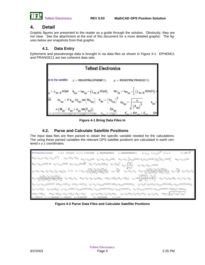

### **4. Detail**

Graphic figures are presented to the reader as a guide through the solution. Obviously, they are not clear. See the attachment at the end of this document for a more detailed graphic. The figures below are snapshots from that graphic.

#### **4.1. Data Entry**

Ephemeris and pseudorange data is brought in via data files as shown in Figure 4-1. EPHEM11 and PRANGE11 are two coherent data sets.



**Figure 4-1 Bring Data Files In**

#### **4.2. Parse and Calculate Satellite Positions**

The input data files are then parsed to obtain the specific variable needed for the calculations. The using these parsed variables the relevant GPS satellite positions are calculated in earth centered x y z coordinates.

| $\mathbf{1}_R = \rho_{\mathcal{T}_q,\mathcal{B}} \qquad \mathbf{1}_F = \rho_{\mathcal{T}_q,\mathcal{B}} \mathbf{10}^{-\mathcal{B}} \qquad \mathbf{1}_F = \mathbf{1}_R \in \mathcal{V}$<br>p :- READPRAIPRANGELL)<br>GPS Position Solution Caculatins                                                                                                                                                                                                                                                                                                                                                                                                                                                                                                                                                                                                                                                                                                                                                                                                   | $1 - 1.568 \times 10^{9}$ |
|--------------------------------------------------------------------------------------------------------------------------------------------------------------------------------------------------------------------------------------------------------------------------------------------------------------------------------------------------------------------------------------------------------------------------------------------------------------------------------------------------------------------------------------------------------------------------------------------------------------------------------------------------------------------------------------------------------------------------------------------------------------------------------------------------------------------------------------------------------------------------------------------------------------------------------------------------------------------------------------------------------------------------------------------------------|---------------------------|
| $\text{res}_{\mathfrak{h}_{\mathcal{G}\theta}} \coloneqq \mu_{\mathfrak{g}\mathfrak{h},\mathfrak{I}} \otimes \text{ dist}_{\mathfrak{g}_{\mathfrak{h}}} \coloneqq \mu_{\mathfrak{g}\mathfrak{h},\mathfrak{I}} \text{ 10}^{-\mathfrak{g}} \otimes$<br>$\mathbf{1}_{\mathsf{BV}_{\mathsf{S}\mathsf{V}}}\coloneqq \mathsf{H}\mathsf{H}_{\mathsf{S}\mathsf{V}}+\mathsf{H}\mathsf{H}_{\mathsf{S}\mathsf{V}}\quad \  \  \mathsf{H}_{\mathsf{S}\mathsf{C}_{\mathsf{S}\mathsf{V}}}\coloneqq \mathsf{X}_{\mathsf{W}\mathsf{V},\mathsf{S}}\mathsf{H}\mathsf{Q}\mathsf{P}\mathsf{I}$<br>$\text{tsv}_{yy} = \text{tsv}_{yy} + \left[ \left( \chi_{yy,0} k(2m\theta) \right) + \chi_{yy} \left( \chi_{xy,0} k(2m\theta) \right) + \left( \chi_{yy} \right)^2 \left( \chi_{yy,0} + (2m\theta) \right) \right]$<br>$u_{gg} = t s \omega_{gs} - \left( \dot{u}_{so\uparrow, \text{S}} \kappa_{204} \right)$<br>$106_{\mathrm{SN}} \geq 2_{\mathrm{SN},15}$ K2p4                                                                                                        |                           |
| $\Lambda_{\mu\nu}{}^a \left(\hbar\Omega_{\rm gas}\right)^2$<br>$\Delta t_{\rm gw} = F \, \sigma_{\rm gw} \, \Delta t_{\rm gw} \sin(M_{0_{\rm GW}})$<br>$\mathbf{e}_{\mathbf{y}\mathbf{y}} = \mathbf{x}_{\mathbf{x}\mathbf{z}_1,12} \text{H2m33} \quad \hbar \mathbf{q}_{\mathbf{y}\mathbf{y}} = \mathbf{x}_{\mathbf{x}\mathbf{z}_1,14} \text{H2m} \sqrt{m}$<br>$M_{\Omega_{\text{SM}}}= -\chi_{_{\text{NN}_1} \uparrow \downarrow} + \chi_{\text{SM} \uparrow \uparrow + \text{SM}}$<br>$n_{0_{\rm BV}}=\sqrt{\frac{\mu}{\left(\Lambda_{\rm pl}\right)^2}}$<br>$n_{\rm gw} \times n_{\rm 0_{\rm EW}} + \left(\chi_{\rm 20\,,\,11}\,\mathrm{Kx2mHJ}\right)$                                                                                                                                                                                                                                                                                                                                                                                             |                           |
| $\Delta_{\rm{BV}} \sim \frac{\rm{Br}_{\rm{BV}}}{10}$<br>$\mathbb{I}_{g_{\mathcal{H}}} = \mathbf{E} \mathbb{V}_{g_{\mathcal{H}}} - \mathbb{E} \mathbf{a}_{g_{\mathcal{H}}} - \mathbb{W}_{g_{\mathcal{H}}} \mathbb{V}_{g_{\mathcal{H}}} = \mathbb{W}_{g_{\mathcal{H}}} - \mathbb{E} \mathbb{V}_{g_{\mathcal{H}}} = \mathbb{E} \mathbb{V} - \mathbb{E} \mathbb{V} - \mathbb{E} \mathbb{V}_{g_{\mathcal{H}}} = \mathbb{E} \mathbb{V}_{g_{\mathcal{H}}} = \frac{\mathbb{E} \left( \mathbb{W}_{g_{\mathcal{H}}} - \mathbb{$<br>$\Delta_{\rm gw}[N_{\rm gw}-E_{\rm gw}+E_{\rm gw}/20 E_{\rm gw}]\rangle$<br>$\epsilon_{\rm sp} = \frac{\mathrm{E} \eta_{\rm sp}}{10} \quad \mathrm{E}_{\rm sp} = \mathrm{E} \eta_{\rm sp} + \mathrm{E}_{\rm sp} \label{eq:eff}$<br>$\mathsf{E}_{\mathrm{gs}} = \mathsf{E} \mathsf{f} \mathsf{f}_{\mathrm{gs}} + \mathsf{E}_{\mathrm{gs}}$<br>$\mathsf{Br}_{\mathsf{Sf}}$<br>$\overline{\mathbb{E}_{gg'}\!\star\mathbb{E}_{gg'}[\mathfrak{M} \mathbb{E}_{gg'}]\circ\mathfrak{M}[\mathbb{E}_{gg}\!\star\!\mathbb{E}_{gg}\,]}\,$ |                           |
| $\mathbf{h}_{\text{gw}}\big(\mathbf{W}_{\text{gw}}-\mathsf{E}_{\text{gw}}\ast\mathbf{w}_{\text{gw}}\text{sin}\big \mathsf{E}_{\text{gw}}\big \big>$<br>$\cos E_{\rm 2N} \sim \cos (E_{\rm 2N} \sin E_{\rm 2N} + \sin (E_{\rm 2N}) \nonumber \\ \qquad \times_{\rm 2N} \sim \sin \left[ \left( \frac{1 + \epsilon_{\rm 2N}}{1 - \epsilon_{\rm 2N}} \right) \cos \left( \frac{E_{\rm 2N}}{2} \right) \right] \\ 2 \quad \  \  \omega_{\rm 2N} \sim \Gamma \sigma_{\rm 2N} \omega_{\rm 2N} \sin E_{\rm 2N} \quad \  \  \tan_{\rm 2N} \sim \omega_{\rm 2N} \sim \omega_{\rm 2N} \ . \label{eq:omega$<br>$\mathsf{E}_{yy} \ast \mathsf{E} \sigma_{yy} \ast \mathsf{E}_{yy} = \mathsf{E} \sigma_{yy} \ast \mathsf{E}_{yy} \ast \eta_{yy} \ast \eta_{yy} \sin(\mathsf{E}_{yy})$<br>$\text{Ext}^{\infty} \xrightarrow{\mathbb{R}^{2k} \times \mathbb{R}^{2k}} \left[ \min_{\mathbb{R}^{2k}} \left  e^{2 \phi} \right  - \min_{\mathbb{R}^{2k}} \left  e^{2 \phi} \star \psi^{2N} \right  \right]$                                                              |                           |
| $b_{30}+a_{30}+r_{30},~y_0\\ b_{20}+b_{21}+b_{22}+b_{23}+c_{24}+c_{25}+c_{26}+c_{27}+c_{28}+c_{29}+c_{29}+c_{29}+c_{29}+c_{29}+c_{20}+c_{20}+c_{20}+c_{20}+c_{20}+c_{20}+c_{21}+c_{22}+c_{21}+c_{22}+c_{21}+c_{22}+c_{21}+c_{21}+c_{22}+c_{21}+c_{22}+c_{21}+c_{22}+$                                                                                                                                                                                                                                                                                                                                                                                                                                                                                                                                                                                                                                                                                                                                                                                  |                           |
| $x_{g_0} = r_{g_0} = r_{g_0} = r_{g_0} = r_{g_0} = r_{g_0} = r_{g_0} = r_{g_0} = r_{g_0} = r_{g_0} = r_{g_0} = r_{g_0} = r_{g_0} = r_{g_0} = r_{g_0} = r_{g_0} = r_{g_0} = r_{g_0} = r_{g_0} = r_{g_0} = r_{g_0} = r_{g_0} = r_{g_0} = r_{g_0} = r_{g_0} = r_{g_0} = r_{g_0} = r_{g_0} = r_{g_0} = r_{g_0} = r_{g_0} = r_{g$                                                                                                                                                                                                                                                                                                                                                                                                                                                                                                                                                                                                                                                                                                                           |                           |
| $\gamma_{g_{\mathcal{U}}} \sim z'_{g_{\mathcal{U}}} \text{ and } \gamma_{g_{\mathcal{U}}} \star \gamma'_{g_{\mathcal{U}}} \text{ and } \gamma_{g_{\mathcal{U}}} \text{ and } \gamma_{g_{\mathcal{U}}} \to \gamma'_{g_{\mathcal{U}}} \text{ and } \gamma_{g_{\mathcal{U}}} \qquad \text{resp.} \qquad \left( z_{g_{\mathcal{U}}} \right)^2 \star \left( \gamma_{g_{\mathcal{U}}} \right)^2 \star \left  z_{g_{\mathcal{U}}} \right ^2$<br>$\text{min}_{\mathcal{G}^{\text{c}}} = \text{min}_{\mathcal{G}^{\text{c}}} \quad \text{min}_{\mathcal{G}^{\text{c}}} = \text{min}_{\mathcal{G}^{\text{c}}} \quad \text{min}_{\mathcal{G}^{\text{c}}} = \text{min} i_{\mathcal{G}^{\text{c}}} $<br>$x_{gj}=x'_{gq'}cm\Omega_{gq'}-\gamma_{gq'}cm\Omega_{gq'}cm\Omega_{gq}$<br>$\cos\!\varphi_{\rm gw}=\cos[\varphi_{\rm gw}]$<br>$h^* = 217.07$<br>2"> -79.0621030666                                                                                                                                                                                          |                           |

**Figure 4-2 Parse Data Files and Calculate Satellite Positions**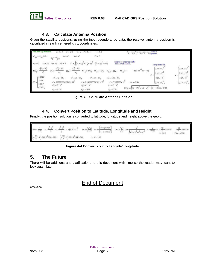

#### **4.3. Calculate Antenna Position**

Given the satellite positions, using the input pseudorange data, the receiver antenna position is calculated in earth centered x y z coordinates.

|                | <b>Pseudorange Solution</b>          | $= 0.3$<br>0.3<br>5V (m)                                                               | $i = 0.3$<br>$k=0$<br>$11 - 0.5$                                                                                                      | $x_j = x_{j+k} y_j = y_{j+k}$                                                                                                             | $k \stackrel{\text{d}}{=} \frac{1}{1} + k \frac{1}{1}$ position |                                                    |
|----------------|--------------------------------------|----------------------------------------------------------------------------------------|---------------------------------------------------------------------------------------------------------------------------------------|-------------------------------------------------------------------------------------------------------------------------------------------|-----------------------------------------------------------------|----------------------------------------------------|
|                | $V'_{\text{SW}} = V_{\text{RF}}$ SOL | $y'_{i} = y''$<br>$X$ ( $=$ $X$<br>$y'' + y'' + k$                                     | $Z'_{1} = Z''$                                                                                                                        |                                                                                                                                           |                                                                 |                                                    |
| <b>KOM X'I</b> | $Y0 = Y'$ r                          | $cdq = 0$<br>$TD =$                                                                    | $(-\infty)^2 + (Y_1 - \infty)^2 + (Z_1 - z_0)^2 + \cot \theta$                                                                        | Determine range vectors for<br>approximate position.                                                                                      | <b>Flange distances</b>                                         |                                                    |
| ◎東海2→          | $-(X - X0)$<br>u.                    | $-(Y - Y0)$<br>$-[Z - 20]$<br>$492 -$<br>$-49/1 -$<br>$w^*$<br>u                       | $W_{1,0} = 5W_{1}$<br>$M_{1,1} - U_{1,1}$                                                                                             | $\delta E \succ M^{-1} \left( \psi - \psi \right)$<br>$M_{1,2} = 1$<br>M,<br>$2 - 642$                                                    | $2.339 \times 10'$<br>$2.242 \times 10^{7}$<br>$v' =$           | $2339 \times 10$<br>$2242 \times 10^{-7}$<br>$y =$ |
| $88 -$         | 0.1346<br>1.448                      | $x^*=\kappa y+\delta E_{\hat{y}}$<br>$y'' = y0 + 8E_1$<br>$x' = 9.78932875692941 x 10$ | $\mathbf{Z}^k \approx \mathbf{Z} \mathbf{J} + \widetilde{\mathbf{S}} \mathbf{E}_{\mathbf{q}}$ .<br>$V' = -5.05039750297842 \times 10$ | $\text{cat} = \text{cat}_0 + \delta E_o$<br>$Z' = 3.7586257 \times 10$<br>$cdt = -0.804$                                                  | $237 \times 10'$<br>$2.193 \times 10^{7}$                       | $2.97 \times 10^{-7}$<br>$2183 \times 10$          |
|                | 0.1917<br>$-0.8037$                  | $e_X' = x'_1 - x''$<br>$e'_{X} = -0.135$                                               | $e'$ y = $y'$ r - $y''$<br>$e'_{V} = -1.446$                                                                                          | $x'_{\bar{z}} = x'_{\bar{z}} - x''$<br>Enor = $\sqrt{(x_r - y^*)^2 + (y_r - y^*)^2 + (z_r - z \sin \theta + 1.485)}$<br>$e'_{Z} = -0.182$ |                                                                 |                                                    |

**Figure 4-3 Calculate Antenna Position**

#### **4.4. Convert Position to Latitude, Longitude and Height**

Finally, the position solution is converted to latitude, longitude and height above the geoid.



#### **Figure 4-4 Convert x y z to Latitude/Longitude**

### **5. The Future**

There will be additions and clarifications to this document with time so the reader may want to look again later.

## End of Document

GPS03.DOC